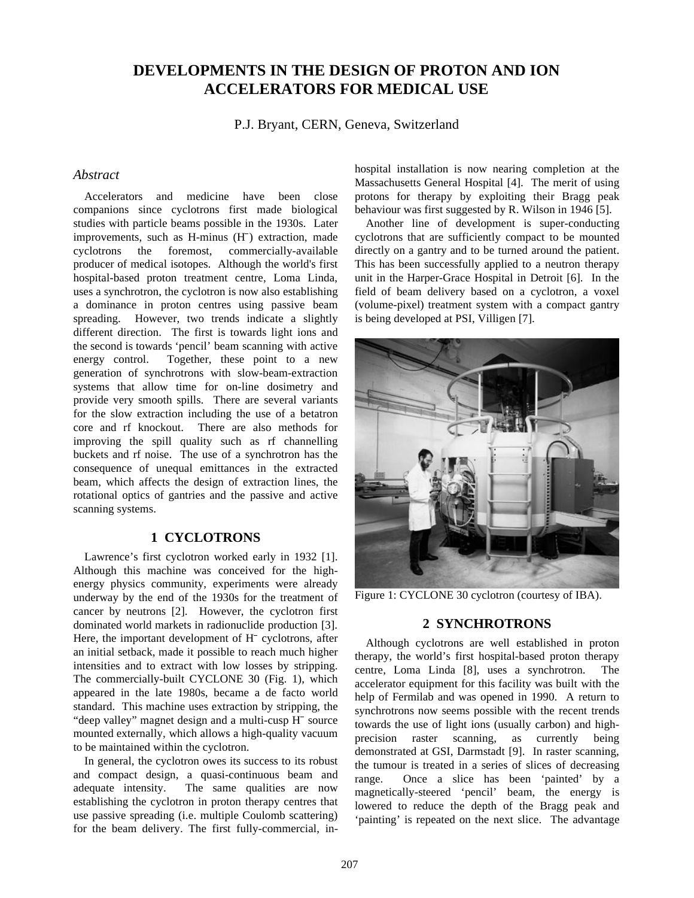# **DEVELOPMENTS IN THE DESIGN OF PROTON AND ION ACCELERATORS FOR MEDICAL USE**

P.J. Bryant, CERN, Geneva, Switzerland

# *Abstract*

Accelerators and medicine have been close companions since cyclotrons first made biological studies with particle beams possible in the 1930s. Later Accelerators and medicine h<br>companions since cyclotrons first<br>studies with particle beams possible is<br>improvements, such as H-minus (H<sup>-</sup> improvements, such as H-minus (H<sup>-</sup>) extraction, made cyclotrons the foremost, commercially-available producer of medical isotopes. Although the world's first hospital-based proton treatment centre, Loma Linda, uses a synchrotron, the cyclotron is now also establishing a dominance in proton centres using passive beam spreading. However, two trends indicate a slightly different direction. The first is towards light ions and the second is towards 'pencil' beam scanning with active energy control. Together, these point to a new generation of synchrotrons with slow-beam-extraction systems that allow time for on-line dosimetry and provide very smooth spills. There are several variants for the slow extraction including the use of a betatron core and rf knockout. There are also methods for improving the spill quality such as rf channelling buckets and rf noise. The use of a synchrotron has the consequence of unequal emittances in the extracted beam, which affects the design of extraction lines, the rotational optics of gantries and the passive and active scanning systems.

# **1 CYCLOTRONS**

Lawrence's first cyclotron worked early in 1932 [1]. Although this machine was conceived for the highenergy physics community, experiments were already end of the 1930s for the treatment of cancer by neutrons [2]. However, the cyclotron first dominated world markets in radionuclide production [3]. Here, the important development of H<sup>-</sup> cyclotrons, after cancer by neutrons [2]. However, the cyclotron first dominated world markets in radionuclide production [3]. Here, the important development of  $H^-$  cyclotrons, after an initial setback, made it possible to reach much higher intensities and to extract with low losses by stripping. The commercially-built CYCLONE 30 (Fig. 1), which appeared in the late 1980s, became a de facto world standard. This machine uses extraction by stripping, the The commercially-built CYCLONE 30 (Fig. 1), appeared in the late 1980s, became a de facto standard. This machine uses extraction by strippi "deep valley" magnet design and a multi-cusp H "deep valley" magnet design and a multi-cusp H<sup>-</sup> source mounted externally, which allows a high-quality vacuum to be maintained within the cyclotron.

In general, the cyclotron owes its success to its robust and compact design, a quasi-continuous beam and adequate intensity. The same qualities are now establishing the cyclotron in proton therapy centres that use passive spreading (i.e. multiple Coulomb scattering) for the beam delivery. The first fully-commercial, inhospital installation is now nearing completion at the Massachusetts General Hospital [4]. The merit of using protons for therapy by exploiting their Bragg peak behaviour was first suggested by R. Wilson in 1946 [5].

Another line of development is super-conducting cyclotrons that are sufficiently compact to be mounted directly on a gantry and to be turned around the patient. This has been successfully applied to a neutron therapy unit in the Harper-Grace Hospital in Detroit [6]. In the field of beam delivery based on a cyclotron, a voxel (volume-pixel) treatment system with a compact gantry is being developed at PSI, Villigen [7].



Figure 1: CYCLONE 30 cyclotron (courtesy of IBA).

# **2 SYNCHROTRONS**

Although cyclotrons are well established in proton therapy, the world's first hospital-based proton therapy centre, Loma Linda [8], uses a synchrotron. The accelerator equipment for this facility was built with the help of Fermilab and was opened in 1990. A return to synchrotrons now seems possible with the recent trends towards the use of light ions (usually carbon) and highprecision raster scanning, as currently being demonstrated at GSI, Darmstadt [9]. In raster scanning, the tumour is treated in a series of slices of decreasing range. Once a slice has been 'painted' by a magnetically-steered 'pencil' beam, the energy is lowered to reduce the depth of the Bragg peak and 'painting' is repeated on the next slice. The advantage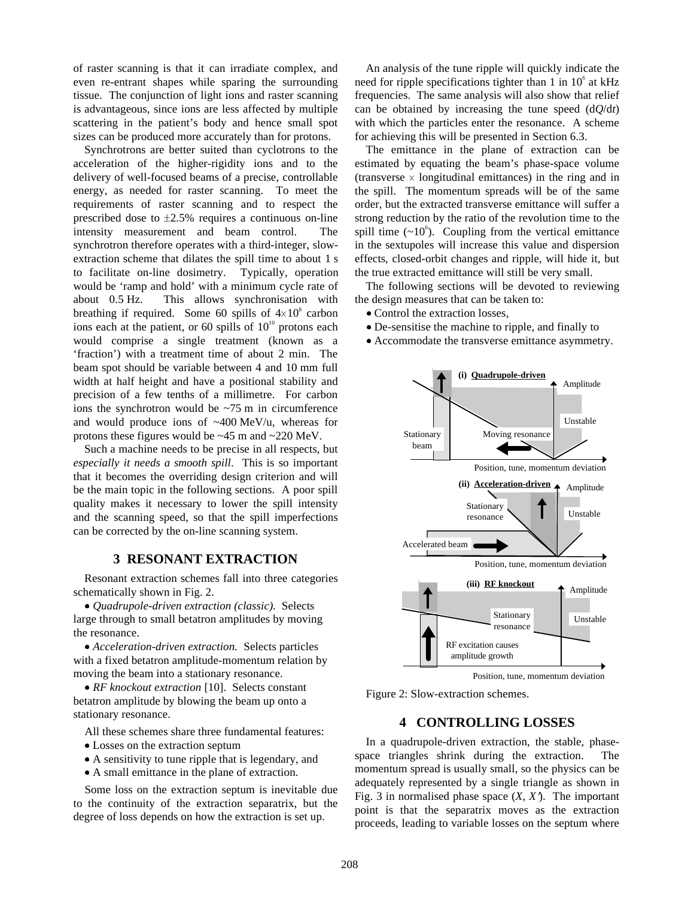of raster scanning is that it can irradiate complex, and even re-entrant shapes while sparing the surrounding tissue. The conjunction of light ions and raster scanning is advantageous, since ions are less affected by multiple scattering in the patient's body and hence small spot sizes can be produced more accurately than for protons.

Synchrotrons are better suited than cyclotrons to the acceleration of the higher-rigidity ions and to the delivery of well-focused beams of a precise, controllable energy, as needed for raster scanning. To meet the requirements of raster scanning and to respect the prescribed dose to  $\pm 2.5\%$  requires a continuous on-line intensity measurement and beam control. The synchrotron therefore operates with a third-integer, slowextraction scheme that dilates the spill time to about 1 s to facilitate on-line dosimetry. Typically, operation would be 'ramp and hold' with a minimum cycle rate of about 0.5 Hz. This allows synchronisation with breathing if required. Some 60 spills of  $4\times10^8$  carbon ions each at the patient, or 60 spills of  $10^{10}$  protons each would comprise a single treatment (known as a 'fraction') with a treatment time of about 2 min. The beam spot should be variable between 4 and 10 mm full width at half height and have a positional stability and precision of a few tenths of a millimetre. For carbon ions the synchrotron would be  $\approx$ 75 m in circumference and would produce ions of  $~400$  MeV/u, whereas for protons these figures would be ~45 m and ~220 MeV.

Such a machine needs to be precise in all respects, but *especially it needs a smooth spill*. This is so important that it becomes the overriding design criterion and will be the main topic in the following sections. A poor spill quality makes it necessary to lower the spill intensity and the scanning speed, so that the spill imperfections can be corrected by the on-line scanning system.

#### **3 RESONANT EXTRACTION**

Resonant extraction schemes fall into three categories schematically shown in Fig. 2.

x *Quadrupole-driven extraction (classic)*. Selects large through to small betatron amplitudes by moving the resonance.

x *Acceleration-driven extraction.* Selects particles with a fixed betatron amplitude-momentum relation by moving the beam into a stationary resonance.

• *RF knockout extraction* [10]. Selects constant betatron amplitude by blowing the beam up onto a stationary resonance.

All these schemes share three fundamental features: • Losses on the extraction septum

- A sensitivity to tune ripple that is legendary, and
- A small emittance in the plane of extraction.

Some loss on the extraction septum is inevitable due to the continuity of the extraction separatrix, but the degree of loss depends on how the extraction is set up.

An analysis of the tune ripple will quickly indicate the need for ripple specifications tighter than 1 in  $10<sup>6</sup>$  at kHz frequencies. The same analysis will also show that relief can be obtained by increasing the tune speed  $(dQ/dt)$ with which the particles enter the resonance. A scheme for achieving this will be presented in Section 6.3.

The emittance in the plane of extraction can be estimated by equating the beam's phase-space volume (transverse  $\times$  longitudinal emittances) in the ring and in the spill. The momentum spreads will be of the same order, but the extracted transverse emittance will suffer a strong reduction by the ratio of the revolution time to the spill time  $({\sim}10^6)$ . Coupling from the vertical emittance in the sextupoles will increase this value and dispersion effects, closed-orbit changes and ripple, will hide it, but the true extracted emittance will still be very small.

The following sections will be devoted to reviewing the design measures that can be taken to:

- Control the extraction losses,
- De-sensitise the machine to ripple, and finally to
- Accommodate the transverse emittance asymmetry.



Figure 2: Slow-extraction schemes.

# **4 CONTROLLING LOSSES**

In a quadrupole-driven extraction, the stable, phasespace triangles shrink during the extraction. The momentum spread is usually small, so the physics can be adequately represented by a single triangle as shown in Fig. 3 in normalised phase space  $(X, X)$ . The important point is that the separatrix moves as the extraction proceeds, leading to variable losses on the septum where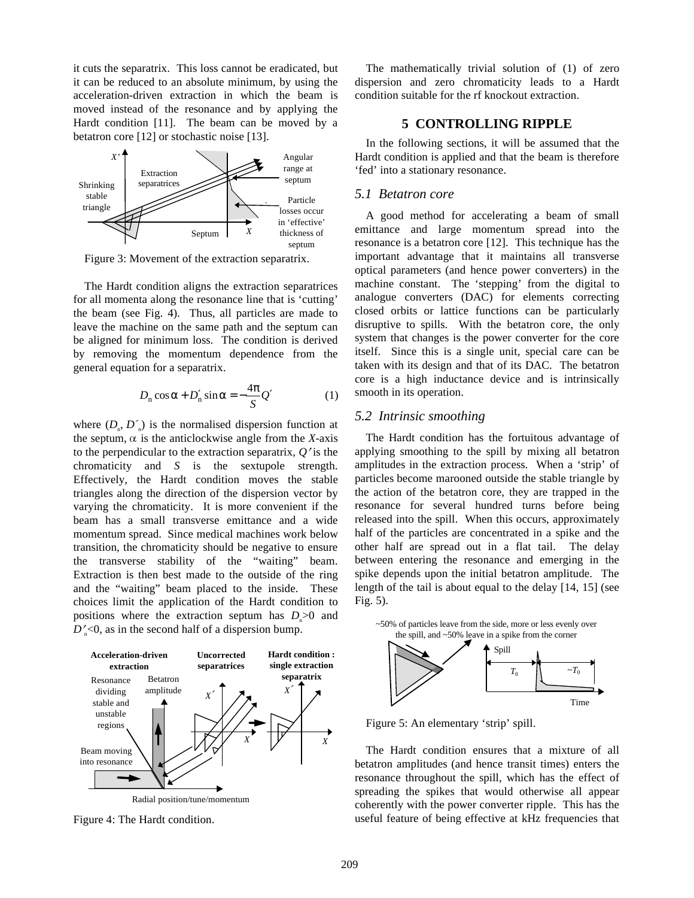it cuts the separatrix. This loss cannot be eradicated, but it can be reduced to an absolute minimum, by using the acceleration-driven extraction in which the beam is moved instead of the resonance and by applying the Hardt condition [11]. The beam can be moved by a betatron core [12] or stochastic noise [13].



Figure 3: Movement of the extraction separatrix.

The Hardt condition aligns the extraction separatrices for all momenta along the resonance line that is 'cutting' the beam (see Fig. 4). Thus, all particles are made to leave the machine on the same path and the septum can be aligned for minimum loss. The condition is derived by removing the momentum dependence from the general equation for a separatrix.

$$
D_{n}\cos\alpha + D'_{n}\sin\alpha = -\frac{4\pi}{S}Q'
$$
 (1)

where  $(D_n, D)$  is the normalised dispersion function at the septum,  $\alpha$  is the anticlockwise angle from the *X*-axis to the perpendicular to the extraction separatrix,  $Q'$  is the chromaticity and *S* is the sextupole strength. Effectively, the Hardt condition moves the stable triangles along the direction of the dispersion vector by varying the chromaticity. It is more convenient if the beam has a small transverse emittance and a wide momentum spread. Since medical machines work below transition, the chromaticity should be negative to ensure the transverse stability of the "waiting" beam. Extraction is then best made to the outside of the ring and the "waiting" beam placed to the inside. These choices limit the application of the Hardt condition to positions where the extraction septum has  $D_n>0$  and  $D'_n<0$ , as in the second half of a dispersion bump.



Figure 4: The Hardt condition.

The mathematically trivial solution of (1) of zero dispersion and zero chromaticity leads to a Hardt condition suitable for the rf knockout extraction.

# **5 CONTROLLING RIPPLE**

In the following sections, it will be assumed that the Hardt condition is applied and that the beam is therefore 'fed' into a stationary resonance.

#### *5.1 Betatron core*

A good method for accelerating a beam of small emittance and large momentum spread into the resonance is a betatron core [12]. This technique has the important advantage that it maintains all transverse optical parameters (and hence power converters) in the machine constant. The 'stepping' from the digital to analogue converters (DAC) for elements correcting closed orbits or lattice functions can be particularly disruptive to spills. With the betatron core, the only system that changes is the power converter for the core itself. Since this is a single unit, special care can be taken with its design and that of its DAC. The betatron core is a high inductance device and is intrinsically smooth in its operation.

# *5.2 Intrinsic smoothing*

The Hardt condition has the fortuitous advantage of applying smoothing to the spill by mixing all betatron amplitudes in the extraction process. When a 'strip' of particles become marooned outside the stable triangle by the action of the betatron core, they are trapped in the resonance for several hundred turns before being released into the spill. When this occurs, approximately half of the particles are concentrated in a spike and the other half are spread out in a flat tail. The delay between entering the resonance and emerging in the spike depends upon the initial betatron amplitude. The length of the tail is about equal to the delay [14, 15] (see Fig. 5).



Figure 5: An elementary 'strip' spill.

The Hardt condition ensures that a mixture of all betatron amplitudes (and hence transit times) enters the resonance throughout the spill, which has the effect of spreading the spikes that would otherwise all appear coherently with the power converter ripple. This has the useful feature of being effective at kHz frequencies that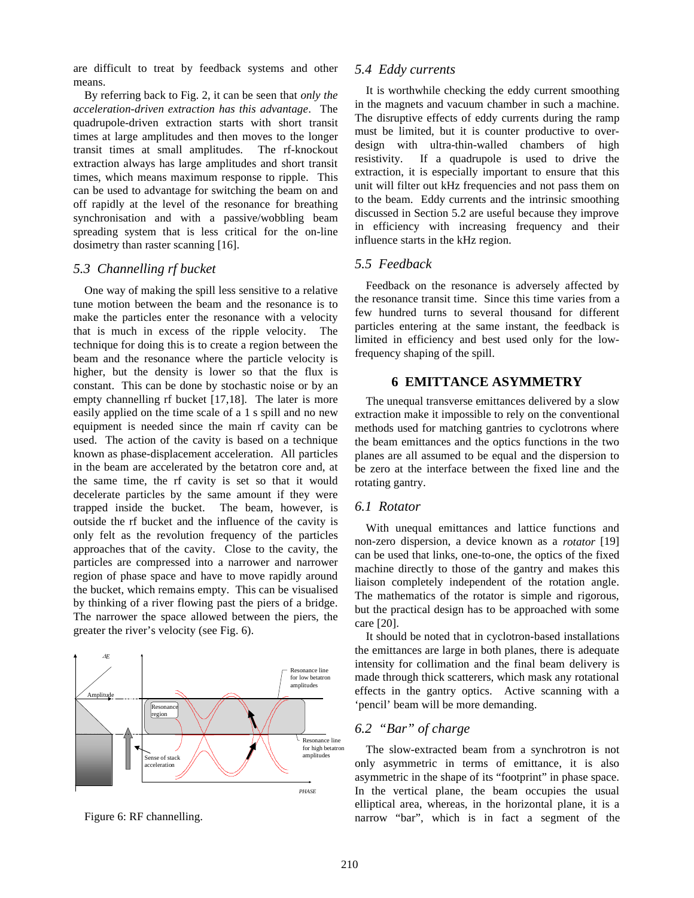are difficult to treat by feedback systems and other means.

By referring back to Fig. 2, it can be seen that *only the acceleration-driven extraction has this advantage*. The quadrupole-driven extraction starts with short transit times at large amplitudes and then moves to the longer transit times at small amplitudes. The rf-knockout extraction always has large amplitudes and short transit times, which means maximum response to ripple. This can be used to advantage for switching the beam on and off rapidly at the level of the resonance for breathing synchronisation and with a passive/wobbling beam spreading system that is less critical for the on-line dosimetry than raster scanning [16].

#### *5.3 Channelling rf bucket*

One way of making the spill less sensitive to a relative tune motion between the beam and the resonance is to make the particles enter the resonance with a velocity that is much in excess of the ripple velocity. The technique for doing this is to create a region between the beam and the resonance where the particle velocity is higher, but the density is lower so that the flux is constant. This can be done by stochastic noise or by an empty channelling rf bucket [17,18]. The later is more easily applied on the time scale of a 1 s spill and no new equipment is needed since the main rf cavity can be used. The action of the cavity is based on a technique known as phase-displacement acceleration. All particles in the beam are accelerated by the betatron core and, at the same time, the rf cavity is set so that it would decelerate particles by the same amount if they were trapped inside the bucket. The beam, however, is outside the rf bucket and the influence of the cavity is only felt as the revolution frequency of the particles approaches that of the cavity. Close to the cavity, the particles are compressed into a narrower and narrower region of phase space and have to move rapidly around the bucket, which remains empty. This can be visualised by thinking of a river flowing past the piers of a bridge. The narrower the space allowed between the piers, the greater the river's velocity (see Fig. 6).



Figure 6: RF channelling.

#### *5.4 Eddy currents*

It is worthwhile checking the eddy current smoothing in the magnets and vacuum chamber in such a machine. The disruptive effects of eddy currents during the ramp must be limited, but it is counter productive to overdesign with ultra-thin-walled chambers of high resistivity. If a quadrupole is used to drive the extraction, it is especially important to ensure that this unit will filter out kHz frequencies and not pass them on to the beam. Eddy currents and the intrinsic smoothing discussed in Section 5.2 are useful because they improve in efficiency with increasing frequency and their influence starts in the kHz region.

# *5.5 Feedback*

Feedback on the resonance is adversely affected by the resonance transit time. Since this time varies from a few hundred turns to several thousand for different particles entering at the same instant, the feedback is limited in efficiency and best used only for the lowfrequency shaping of the spill.

#### **6 EMITTANCE ASYMMETRY**

The unequal transverse emittances delivered by a slow extraction make it impossible to rely on the conventional methods used for matching gantries to cyclotrons where the beam emittances and the optics functions in the two planes are all assumed to be equal and the dispersion to be zero at the interface between the fixed line and the rotating gantry.

#### *6.1 Rotator*

With unequal emittances and lattice functions and non-zero dispersion, a device known as a *rotator* [19] can be used that links, one-to-one, the optics of the fixed machine directly to those of the gantry and makes this liaison completely independent of the rotation angle. The mathematics of the rotator is simple and rigorous, but the practical design has to be approached with some care [20].

It should be noted that in cyclotron-based installations the emittances are large in both planes, there is adequate intensity for collimation and the final beam delivery is made through thick scatterers, which mask any rotational effects in the gantry optics. Active scanning with a 'pencil' beam will be more demanding.

# *6.2 "Bar" of charge*

The slow-extracted beam from a synchrotron is not only asymmetric in terms of emittance, it is also asymmetric in the shape of its "footprint" in phase space. In the vertical plane, the beam occupies the usual elliptical area, whereas, in the horizontal plane, it is a narrow "bar", which is in fact a segment of the